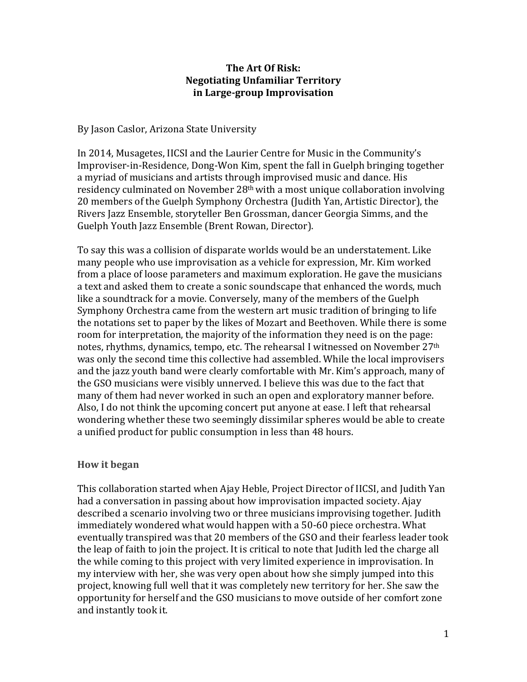## **The Art Of Risk: Negotiating Unfamiliar Territory in Large‐group Improvisation**

By Jason Caslor, Arizona State University

In 2014, Musagetes, IICSI and the Laurier Centre for Music in the Community's Improviser‐in‐Residence, Dong‐Won Kim, spent the fall in Guelph bringing together a myriad of musicians and artists through improvised music and dance. His residency culminated on November 28<sup>th</sup> with a most unique collaboration involving 20 members of the Guelph Symphony Orchestra (Judith Yan, Artistic Director), the Rivers Jazz Ensemble, storyteller Ben Grossman, dancer Georgia Simms, and the Guelph Youth Jazz Ensemble (Brent Rowan, Director).

To say this was a collision of disparate worlds would be an understatement. Like many people who use improvisation as a vehicle for expression, Mr. Kim worked from a place of loose parameters and maximum exploration. He gave the musicians a text and asked them to create a sonic soundscape that enhanced the words, much like a soundtrack for a movie. Conversely, many of the members of the Guelph Symphony Orchestra came from the western art music tradition of bringing to life the notations set to paper by the likes of Mozart and Beethoven. While there is some room for interpretation, the majority of the information they need is on the page: notes, rhythms, dynamics, tempo, etc. The rehearsal I witnessed on November 27<sup>th</sup> was only the second time this collective had assembled. While the local improvisers and the jazz youth band were clearly comfortable with Mr. Kim's approach, many of the GSO musicians were visibly unnerved. I believe this was due to the fact that many of them had never worked in such an open and exploratory manner before. Also, I do not think the upcoming concert put anyone at ease. I left that rehearsal wondering whether these two seemingly dissimilar spheres would be able to create a unified product for public consumption in less than 48 hours.

## **How it began**

This collaboration started when Ajay Heble, Project Director of IICSI, and Judith Yan had a conversation in passing about how improvisation impacted society. Ajay described a scenario involving two or three musicians improvising together. Judith immediately wondered what would happen with a 50‐60 piece orchestra. What eventually transpired was that 20 members of the GSO and their fearless leader took the leap of faith to join the project. It is critical to note that Judith led the charge all the while coming to this project with very limited experience in improvisation. In my interview with her, she was very open about how she simply jumped into this project, knowing full well that it was completely new territory for her. She saw the opportunity for herself and the GSO musicians to move outside of her comfort zone and instantly took it.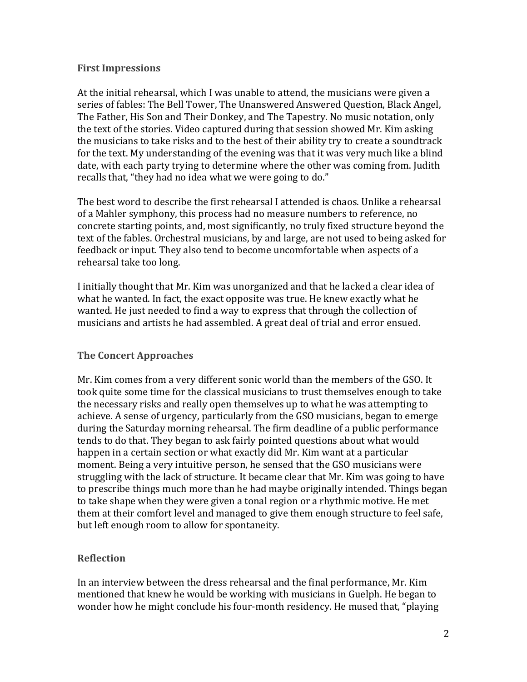#### **First Impressions**

At the initial rehearsal, which I was unable to attend, the musicians were given a series of fables: The Bell Tower, The Unanswered Answered Question, Black Angel, The Father, His Son and Their Donkey, and The Tapestry. No music notation, only the text of the stories. Video captured during that session showed Mr. Kim asking the musicians to take risks and to the best of their ability try to create a soundtrack for the text. My understanding of the evening was that it was very much like a blind date, with each party trying to determine where the other was coming from. Judith recalls that, "they had no idea what we were going to do."

The best word to describe the first rehearsal I attended is chaos. Unlike a rehearsal of a Mahler symphony, this process had no measure numbers to reference, no concrete starting points, and, most significantly, no truly fixed structure beyond the text of the fables. Orchestral musicians, by and large, are not used to being asked for feedback or input. They also tend to become uncomfortable when aspects of a rehearsal take too long.

I initially thought that Mr. Kim was unorganized and that he lacked a clear idea of what he wanted. In fact, the exact opposite was true. He knew exactly what he wanted. He just needed to find a way to express that through the collection of musicians and artists he had assembled. A great deal of trial and error ensued.

## **The Concert Approaches**

Mr. Kim comes from a very different sonic world than the members of the GSO. It took quite some time for the classical musicians to trust themselves enough to take the necessary risks and really open themselves up to what he was attempting to achieve. A sense of urgency, particularly from the GSO musicians, began to emerge during the Saturday morning rehearsal. The firm deadline of a public performance tends to do that. They began to ask fairly pointed questions about what would happen in a certain section or what exactly did Mr. Kim want at a particular moment. Being a very intuitive person, he sensed that the GSO musicians were struggling with the lack of structure. It became clear that Mr. Kim was going to have to prescribe things much more than he had maybe originally intended. Things began to take shape when they were given a tonal region or a rhythmic motive. He met them at their comfort level and managed to give them enough structure to feel safe, but left enough room to allow for spontaneity.

## **Reflection**

In an interview between the dress rehearsal and the final performance, Mr. Kim mentioned that knew he would be working with musicians in Guelph. He began to wonder how he might conclude his four-month residency. He mused that, "playing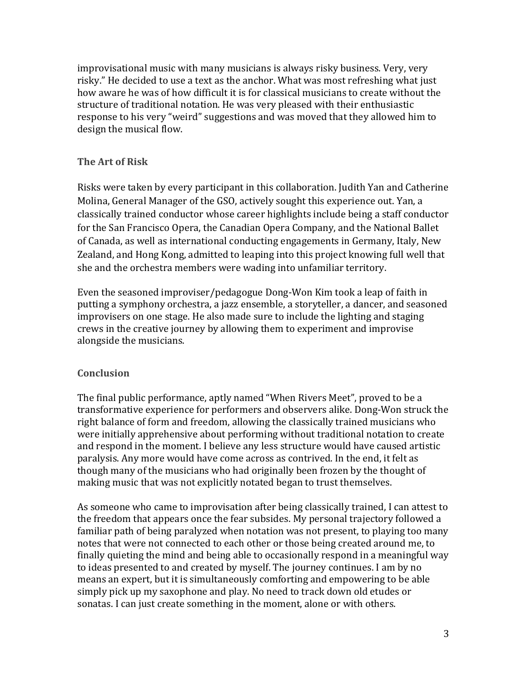improvisational music with many musicians is always risky business. Very, very risky." He decided to use a text as the anchor. What was most refreshing what just how aware he was of how difficult it is for classical musicians to create without the structure of traditional notation. He was very pleased with their enthusiastic response to his very "weird" suggestions and was moved that they allowed him to design the musical flow.

# **The Art of Risk**

Risks were taken by every participant in this collaboration. Judith Yan and Catherine Molina, General Manager of the GSO, actively sought this experience out. Yan, a classically trained conductor whose career highlights include being a staff conductor for the San Francisco Opera, the Canadian Opera Company, and the National Ballet of Canada, as well as international conducting engagements in Germany, Italy, New Zealand, and Hong Kong, admitted to leaping into this project knowing full well that she and the orchestra members were wading into unfamiliar territory.

Even the seasoned improviser/pedagogue Dong‐Won Kim took a leap of faith in putting a symphony orchestra, a jazz ensemble, a storyteller, a dancer, and seasoned improvisers on one stage. He also made sure to include the lighting and staging crews in the creative journey by allowing them to experiment and improvise alongside the musicians.

## **Conclusion**

The final public performance, aptly named "When Rivers Meet", proved to be a transformative experience for performers and observers alike. Dong‐Won struck the right balance of form and freedom, allowing the classically trained musicians who were initially apprehensive about performing without traditional notation to create and respond in the moment. I believe any less structure would have caused artistic paralysis. Any more would have come across as contrived. In the end, it felt as though many of the musicians who had originally been frozen by the thought of making music that was not explicitly notated began to trust themselves.

As someone who came to improvisation after being classically trained, I can attest to the freedom that appears once the fear subsides. My personal trajectory followed a familiar path of being paralyzed when notation was not present, to playing too many notes that were not connected to each other or those being created around me, to finally quieting the mind and being able to occasionally respond in a meaningful way to ideas presented to and created by myself. The journey continues. I am by no means an expert, but it is simultaneously comforting and empowering to be able simply pick up my saxophone and play. No need to track down old etudes or sonatas. I can just create something in the moment, alone or with others.